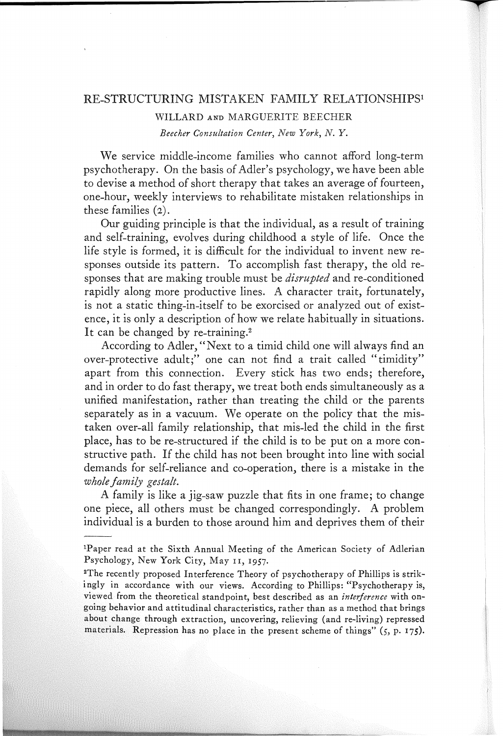### RE-STRUCTURING MISTAKEN FAMILY RELATIONSHIPSI

#### WILLARD AND MARGUERITE BEECHER

*Beecher Consultation Center, New York, N. Y.*

We service middle-income families who cannot afford long-term psychotherapy. On the basis of Adler's psychology, we have been able to devise a method of short therapy that takes an average of fourteen, one-hour, weekly interviews to rehabilitate mistaken relationships in these families (2).

Our guiding principle is that the individual, as a result of training and self-training, evolves during childhood a style of life. Once the life style is formed, it is difficult for the individual to invent new responses outside its pattern. To accomplish fast therapy, the old responses that are making trouble must be *disrupted* and re-conditioned rapidly along more productive lines. A character trait, fortunately, is not a static thing-in-itself to be exorcised or analyzed out of existence, it is only a description of how we relate habitually in situations. It can be changed by re-training.<sup>2</sup>

According to Adler, "Next to a timid child one will always find an over-protective adult;" one can not find a trait called "timidity" apart from this connection. Every stick has two ends; therefore, and in order to do fast therapy, we treat both ends simultaneously as a unified manifestation, rather than treating the child or the parents separately as in a vacuum. We operate on the policy that the mistaken over-all family relationship, that mis-led the child in the first place, has to be re-structured if the child is to be put on a more constructive path. If the child has not been brought into line with social demands for self-reliance and co-operation, there is a mistake in the *whole family gestalt.*

A family is like a jig-saw puzzle that fits in one frame; to change one piece, all others must be changed correspondingly. A problem individual is a burden to those around him and deprives them of their

<sup>&</sup>lt;sup>1</sup>Paper read at the Sixth Annual Meeting of the American Society of Adlerian Psychology, New York City, May II, 1957.

<sup>2</sup>The recently proposed Interference Theory of psychotherapy of Phillips is strikingly in accordance with our views. According to Phillips: "Psychotherapy is, viewed from the theoretical standpoint, best described as an *interference* with ongoing behavior and attitudinal characteristics, rather than as a method that brings about change through extraction, uncovering, relieving (and re-living) repressed materials. Repression has no place in the present scheme of things" (5, p. 175).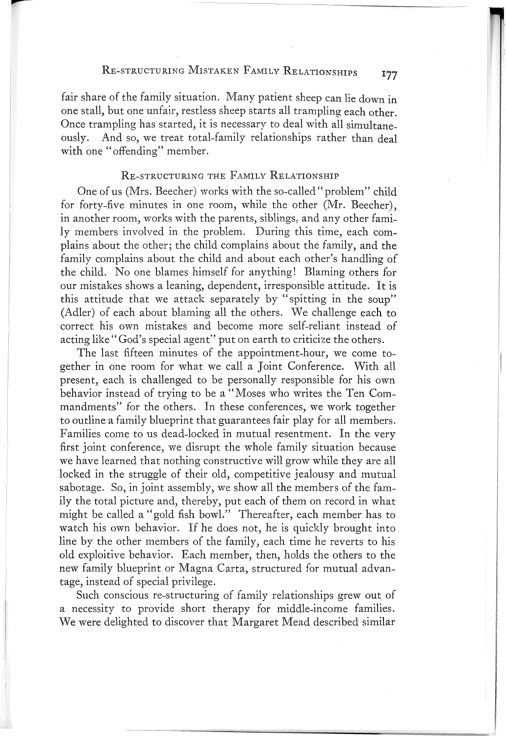# RE-STRUCTURING MISTAKEN FAMILY RELATIONSHIPS 177

fair share of the family situation. Many patient sheep can lie down in one stall, but one unfair, restless sheep starts all trampling each other. Once trampling has started, it is necessary to deal with all simultaneously. And so, we treat total-family relationships rather than deal with one "offending" member.

## RE-STRUCTURING THE FAMILY RELATIONSHIP

One of us (Mrs. Beecher) works with the so-called" problem" child for forty-five minutes in one room, while the other (Mr. Beecher), in another room, works with the parents, siblings, and any other family members involved in the problem. During this time, each complains about the other; the child complains about the family, and the family complains about the child and about each other's handling of the child. No one blames himself for anything! Blaming others for our mistakes shows a leaning, dependent, irresponsible attitude. It is this attitude that we attack separately by "spitting in the soup" (Adler) of each about blaming all the others. We challenge each to correct his own mistakes and become more self-reliant instead of acting like" God's special agent" put on earth to criticize the others.

The last fifteen minutes of the appointment-hour, we come together in one room for what we call a Joint Conference. With all present, each is challenged to be personally responsible for his own behavior instead of trying to be a "Moses who writes the Ten Commandments" for the others. In these conferences, we work together to outline a family blueprint that guarantees fair play for all members. Families come to us dead-locked in mutual resentment. In the very first joint conference, we disrupt the whole family situation because we have learned that nothing constructive will grow while they are all locked in the struggle of their old, competitive jealousy and mutual sabotage. So, in joint assembly, we show all the members of the family the total picture and, thereby, put each of them on record in what might be called a "gold fish bowl." Thereafter, each member has to watch his own behavior. If he does not, he is quickly brought into line by the other members of the family, each time he reverts to his old exploitive behavior. Each member, then, holds the others to the new family blueprint or Magna Carta, structured for mutual advantage, instead of special privilege.

Such conscious re-structuring of family relationships grew out of a necessity to provide short therapy for middle-income families. We were delighted to discover that Margaret Mead described similar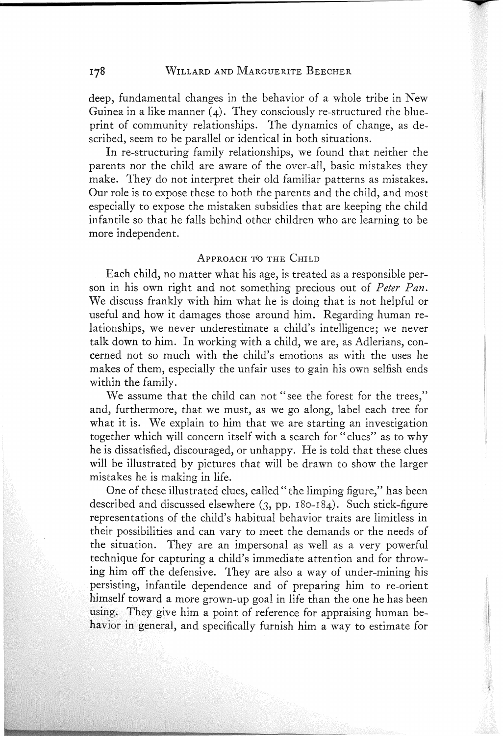#### WILLARD AND MARGUERITE BEECHER

deep, fundamental changes in the behavior of a whole tribe in New Guinea in a like manner  $(4)$ . They consciously re-structured the blueprint of community relationships. The dynamics of change, as described, seem to be parallel or identical in both situations.

In re-structuring family relationships, we found that neither the parents nor the child are aware of the over-all, basic mistakes they make. They do not interpret their old familiar patterns as mistakes. Our role is to expose these to both the parents and the child, and most especially to expose the mistaken subsidies that are keeping the child infantile so that he falls behind other children who are learning to be more independent.

### APPROACH TO THE CHILD

Each child, no matter what his age, is treated as a responsible person in his own right and not something precious out of *Peter Pan.* We discuss frankly with him what he is doing that is not helpful or useful and how it damages those around him. Regarding human relationships, we never underestimate a child's intelligence; we never talk down to him. In working with a child, we are, as Adlerians, concerned not so much with the child's emotions as with the uses he makes of them, especially the unfair uses to gain his own selfish ends within the family.

We assume that the child can not "see the forest for the trees," and, furthermore, that we must, as we go along, label each tree for what it is. We explain to him that we are starting an investigation together which will concern itself with a search for" clues" as to why he is dissatisfied, discouraged, or unhappy. He is told that these clues will be illustrated by pictures that will be drawn to show the larger mistakes he is making in life.

One of these illustrated clues, called" the limping figure," has been described and discussed elsewhere (3, pp. 180-184). Such stick-figure representations of the child's habitual behavior traits are limitless in their possibilities and can vary to meet the demands or the needs of the situation. They are an impersonal as well as a very powerful technique for capturing a child's immediate attention and for throwing him off the defensive. They are also a way of under-mining his persisting, infantile dependence and of preparing him to re-orient himself toward a more grown-up goal in life than the one he has been using. They give him a point of reference for appraising human behavior in general, and specifically furnish him a way to estimate for

178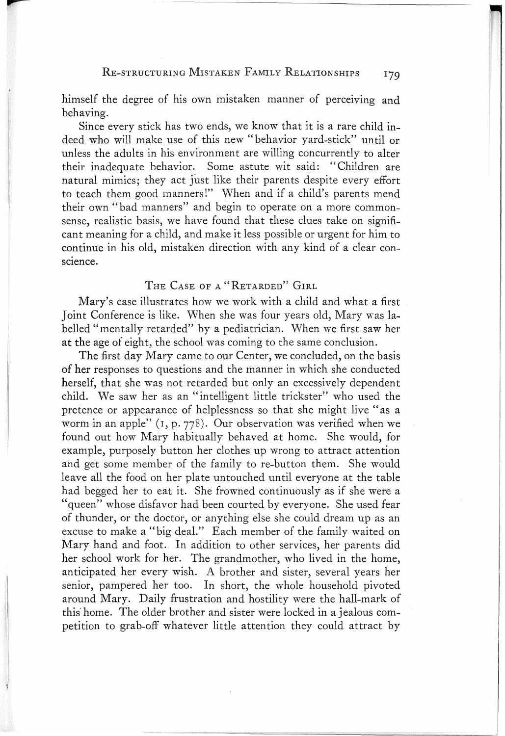# RE-STRUCTURING MISTAKEN FAMILY RELATIONSHIPS 179

himself the degree of his own mistaken manner of perceiving and behaving.

Since every stick has two ends, we know that it is a rare child indeed who will make use of this new "behavior yard-stick" until or unless the adults in his environment are willing concurrently to alter their inadequate behavior. Some astute wit said: "Children are natural mimics; they act just like their parents despite every effort to teach them good manners!" When and if a child's parents mend their own "bad manners" and begin to operate on a more commonsense, realistic basis, we have found that these clues take on significant meaning for a child, and make it less possible or urgent for him to continue in his old, mistaken direction with any kind of a clear conscience.

# THE CASE OF A "RETARDED" GIRL

Mary's case illustrates how we work with a child and what a first Joint Conference is like. When she was four years old, Mary was labelled"mentally retarded" by a pediatrician. When we first saw her at the age of eight, the school was coming to the same conclusion.

The first day Mary came to our Center, we concluded, on the basis of her responses to questions and the manner in which she conducted herself, that she was not retarded but only an excessively dependent child. We saw her as an "intelligent little trickster" who used the pretence or appearance of helplessness so that she might live" as a worm in an apple"  $(1, p. 778)$ . Our observation was verified when we found out how Mary habitually behaved at home. She would, for example, purposely button her clothes up wrong to attract attention and get some member of the family to re-button them. She would leave all the food on her plate untouched until everyone at the table had begged her to eat it. She frowned continuously as if she were a "queen" whose disfavor had been courted by everyone. She used fear of thunder, or the doctor, or anything else she could dream up as an excuse to make a "big deal." Each member of the family waited on Mary hand and foot. In addition to other services, her parents did her school work for her. The grandmother, who lived in the home, anticipated her every wish. A brother and sister, several years her senior, pampered her too. In short, the whole household pivoted around Mary. Daily frustration and hostility were the hall-mark of this' home. The older brother and sister were locked in a jealous competition to grab-off whatever little attention they could attract by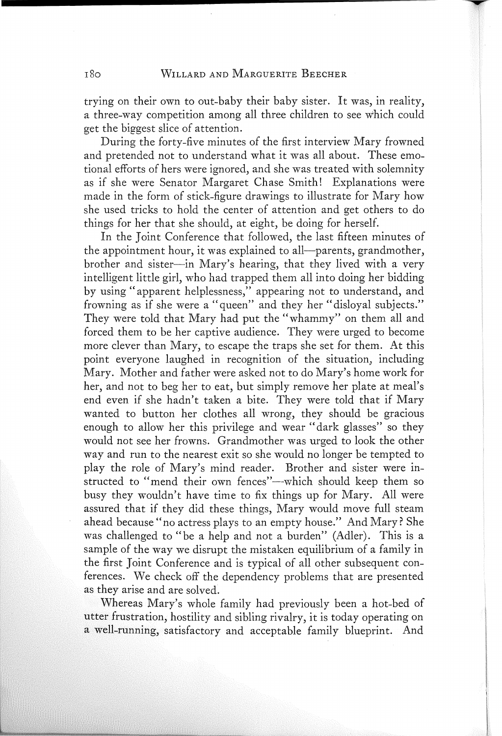trying on their own to out-baby their baby sister. It was, in reality, a three-way competition among all three children to see which could get the biggest slice of attention.

During the forty-five minutes of the first interview Mary frowned and pretended not to understand what it was all about. These emotional efforts of hers were ignored, and she was treated with solemnity as if she were Senator Margaret Chase Smith! Explanations were made in the form of stick-figure drawings to illustrate for Mary how she used tricks to hold the center of attention and get others to do things for her that she should, at eight, be doing for herself.

In the Joint Conference that followed, the last fifteen minutes of the appointment hour, it was explained to all--parents, grandmother, brother and sister-in Mary's hearing, that they lived with a very intelligent little girl, who had trapped them all into doing her bidding by using" apparent helplessness," appearing not to understand, and frowning as if she were a "queen" and they her "disloyal subjects." They were told that Mary had put the "whammy" on them all and forced them to be her captive audience. They were urged to become more clever than Mary, to escape the traps she set for them. At this point everyone laughed in recognition of the situation, including Mary. Mother and father were asked not to do Mary's home work for her, and not to beg her to eat, but simply remove her plate at meal's end even if she hadn't taken a bite. They were told that if Mary wanted to button her clothes all wrong, they should be gracious enough to allow her this privilege and wear "dark glasses" so they would not see her frowns. Grandmother was urged to look the other way and run to the nearest exit so she would no longer be tempted to play the role of Mary's mind reader. Brother and sister were instructed to "mend their own fences"--which should keep them so busy they wouldn't have time to fix things up for Mary. All were assured that if they did these things, Mary would move full steam ahead because" no actress plays to an empty house." And Mary? She was challenged to "be a help and not a burden" (Adler). This is a sample of the way we disrupt the mistaken equilibrium of a family in the first Joint Conference and is typical of all other subsequent conferences. We check off the dependency problems that are presented as they arise and are solved.

Whereas Mary's whole family had previously been a hot-bed of utter frustration, hostility and sibling rivalry, it is today operating on a well-running, satisfactory and acceptable family blueprint. And